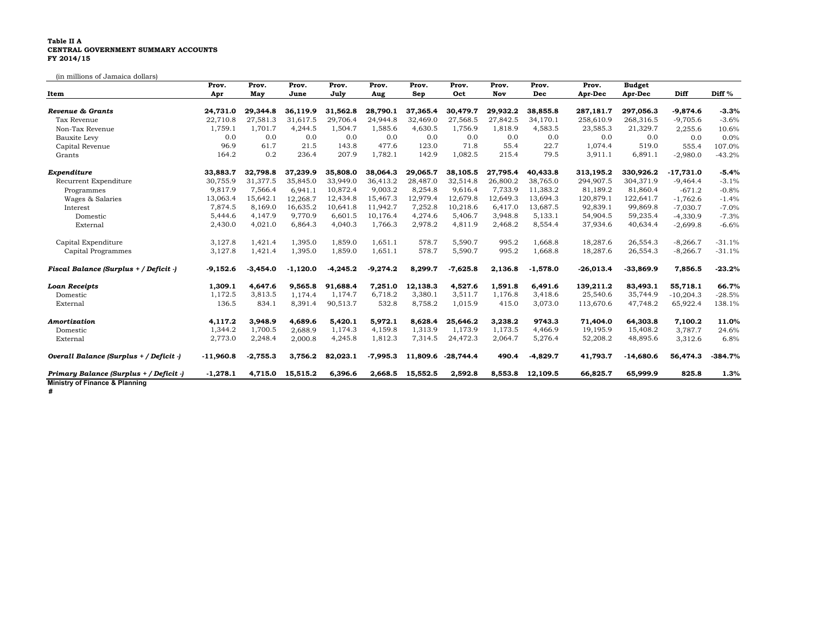## **Table II A CENTRAL GOVERNMENT SUMMARY ACCOUNTS FY 2014/15**

(in millions of Jamaica dollars)

|                                         | Prov.       | Prov.      | Prov.      | Prov.      | Prov.      | Prov.    | Prov.       | Prov.    | Prov.      | Prov.       | <b>Budget</b> |             |           |
|-----------------------------------------|-------------|------------|------------|------------|------------|----------|-------------|----------|------------|-------------|---------------|-------------|-----------|
| Item                                    | Apr         | May        | June       | July       | Aug        | Sep      | Oct         | Nov      | Dec        | Apr-Dec     | Apr-Dec       | Diff        | Diff %    |
| Revenue & Grants                        | 24,731.0    | 29,344.8   | 36.119.9   | 31,562.8   | 28,790.1   | 37,365.4 | 30,479.7    | 29,932.2 | 38,855.8   | 287,181.7   | 297,056.3     | $-9,874.6$  | $-3.3%$   |
| Tax Revenue                             | 22,710.8    | 27,581.3   | 31,617.5   | 29,706.4   | 24,944.8   | 32,469.0 | 27,568.5    | 27,842.5 | 34,170.1   | 258,610.9   | 268,316.5     | $-9,705.6$  | $-3.6%$   |
| Non-Tax Revenue                         | 1,759.1     | 1,701.7    | 4,244.5    | 1,504.7    | 1,585.6    | 4,630.5  | 1,756.9     | 1,818.9  | 4,583.5    | 23,585.3    | 21,329.7      | 2,255.6     | 10.6%     |
| Bauxite Levy                            | 0.0         | 0.0        | 0.0        | 0.0        | 0.0        | 0.0      | 0.0         | 0.0      | 0.0        | 0.0         | 0.0           | 0.0         | 0.0%      |
| Capital Revenue                         | 96.9        | 61.7       | 21.5       | 143.8      | 477.6      | 123.0    | 71.8        | 55.4     | 22.7       | 1,074.4     | 519.0         | 555.4       | 107.0%    |
| Grants                                  | 164.2       | 0.2        | 236.4      | 207.9      | 1,782.1    | 142.9    | 1,082.5     | 215.4    | 79.5       | 3,911.1     | 6,891.1       | $-2,980.0$  | $-43.2%$  |
| Expenditure                             | 33,883.7    | 32.798.8   | 37,239.9   | 35,808.0   | 38,064.3   | 29,065.7 | 38,105.5    | 27,795.4 | 40,433.8   | 313,195.2   | 330,926.2     | $-17,731.0$ | $-5.4%$   |
| Recurrent Expenditure                   | 30,755.9    | 31.377.5   | 35.845.0   | 33.949.0   | 36.413.2   | 28,487.0 | 32,514.8    | 26,800.2 | 38.765.0   | 294.907.5   | 304.371.9     | $-9,464.4$  | $-3.1%$   |
| Programmes                              | 9,817.9     | 7,566.4    | 6,941.1    | 10,872.4   | 9,003.2    | 8,254.8  | 9,616.4     | 7,733.9  | 11,383.2   | 81,189.2    | 81,860.4      | $-671.2$    | $-0.8%$   |
| Wages & Salaries                        | 13,063.4    | 15,642.1   | 12.268.7   | 12,434.8   | 15,467.3   | 12,979.4 | 12,679.8    | 12,649.3 | 13,694.3   | 120,879.1   | 122,641.7     | $-1,762.6$  | $-1.4%$   |
| Interest                                | 7,874.5     | 8,169.0    | 16,635.2   | 10,641.8   | 11,942.7   | 7,252.8  | 10,218.6    | 6,417.0  | 13,687.5   | 92,839.1    | 99,869.8      | $-7,030.7$  | $-7.0%$   |
| Domestic                                | 5,444.6     | 4,147.9    | 9,770.9    | 6,601.5    | 10,176.4   | 4,274.6  | 5,406.7     | 3,948.8  | 5,133.1    | 54,904.5    | 59,235.4      | $-4,330.9$  | $-7.3%$   |
| External                                | 2,430.0     | 4,021.0    | 6,864.3    | 4,040.3    | 1,766.3    | 2,978.2  | 4,811.9     | 2,468.2  | 8,554.4    | 37,934.6    | 40,634.4      | $-2,699.8$  | $-6.6%$   |
| Capital Expenditure                     | 3,127.8     | 1,421.4    | 1,395.0    | 1,859.0    | 1,651.1    | 578.7    | 5,590.7     | 995.2    | 1.668.8    | 18,287.6    | 26,554.3      | $-8,266.7$  | $-31.1%$  |
| Capital Programmes                      | 3,127.8     | 1,421.4    | 1,395.0    | 1,859.0    | 1,651.1    | 578.7    | 5,590.7     | 995.2    | 1,668.8    | 18,287.6    | 26,554.3      | $-8,266.7$  | $-31.1%$  |
| Fiscal Balance (Surplus + / Deficit -)  | $-9,152.6$  | $-3,454.0$ | $-1,120.0$ | $-4,245.2$ | $-9,274.2$ | 8.299.7  | $-7,625.8$  | 2,136.8  | $-1,578.0$ | $-26,013.4$ | $-33,869.9$   | 7,856.5     | $-23.2%$  |
| <b>Loan Receipts</b>                    | 1,309.1     | 4,647.6    | 9,565.8    | 91,688.4   | 7,251.0    | 12,138.3 | 4,527.6     | 1,591.8  | 6,491.6    | 139,211.2   | 83,493.1      | 55,718.1    | 66.7%     |
| Domestic                                | 1,172.5     | 3,813.5    | 1,174.4    | 1,174.7    | 6,718.2    | 3,380.1  | 3,511.7     | 1,176.8  | 3,418.6    | 25,540.6    | 35,744.9      | $-10,204.3$ | $-28.5%$  |
| External                                | 136.5       | 834.1      | 8,391.4    | 90,513.7   | 532.8      | 8,758.2  | 1,015.9     | 415.0    | 3,073.0    | 113,670.6   | 47,748.2      | 65,922.4    | 138.1%    |
| Amortization                            | 4,117.2     | 3,948.9    | 4,689.6    | 5,420.1    | 5,972.1    | 8,628.4  | 25,646.2    | 3,238.2  | 9743.3     | 71,404.0    | 64,303.8      | 7,100.2     | 11.0%     |
| Domestic                                | 1,344.2     | 1,700.5    | 2,688.9    | 1,174.3    | 4,159.8    | 1,313.9  | 1,173.9     | 1,173.5  | 4,466.9    | 19,195.9    | 15,408.2      | 3,787.7     | 24.6%     |
| External                                | 2,773.0     | 2,248.4    | 2,000.8    | 4,245.8    | 1,812.3    | 7,314.5  | 24,472.3    | 2,064.7  | 5,276.4    | 52,208.2    | 48,895.6      | 3,312.6     | 6.8%      |
| Overall Balance (Surplus + / Deficit -) | $-11,960.8$ | $-2,755.3$ | 3,756.2    | 82,023.1   | $-7,995.3$ | 11,809.6 | $-28,744.4$ | 490.4    | $-4,829.7$ | 41,793.7    | $-14,680.6$   | 56,474.3    | $-384.7%$ |
| Primary Balance (Surplus + / Deficit -) | $-1,278.1$  | 4,715.0    | 15,515.2   | 6,396.6    | 2,668.5    | 15,552.5 | 2,592.8     | 8,553.8  | 12,109.5   | 66,825.7    | 65,999.9      | 825.8       | 1.3%      |
| Ministry of Finance & Planning          |             |            |            |            |            |          |             |          |            |             |               |             |           |

**#**